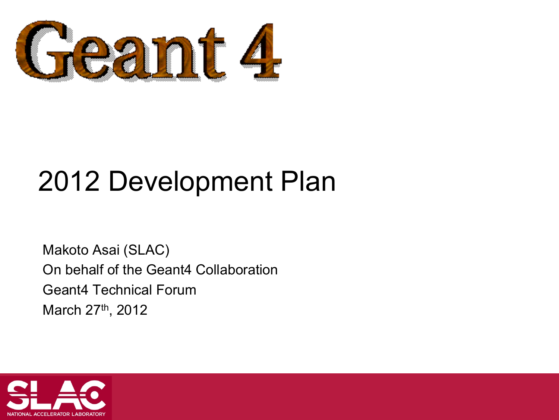

# 2012 Development Plan

Makoto Asai (SLAC) On behalf of the Geant4 Collaboration Geant4 Technical Forum March 27<sup>th</sup>, 2012

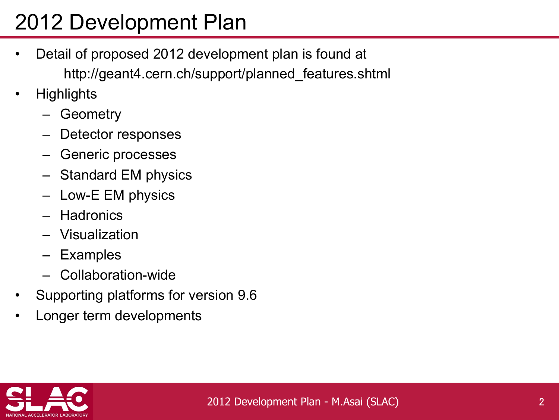# 2012 Development Plan

- Detail of proposed 2012 development plan is found at http://geant4.cern.ch/support/planned\_features.shtml
- Highlights
	- Geometry
	- Detector responses
	- Generic processes
	- Standard EM physics
	- Low-E EM physics
	- Hadronics
	- Visualization
	- **Examples**
	- Collaboration-wide
- Supporting platforms for version 9.6
- Longer term developments

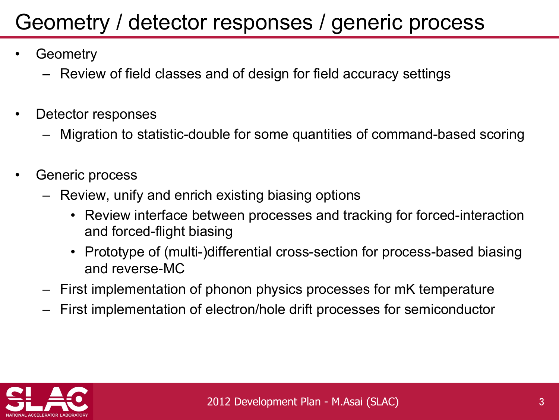#### Geometry / detector responses / generic process

- **Geometry** 
	- Review of field classes and of design for field accuracy settings
- Detector responses
	- Migration to statistic-double for some quantities of command-based scoring
- Generic process
	- Review, unify and enrich existing biasing options
		- Review interface between processes and tracking for forced-interaction and forced-flight biasing
		- Prototype of (multi-)differential cross-section for process-based biasing and reverse-MC
	- First implementation of phonon physics processes for mK temperature
	- First implementation of electron/hole drift processes for semiconductor

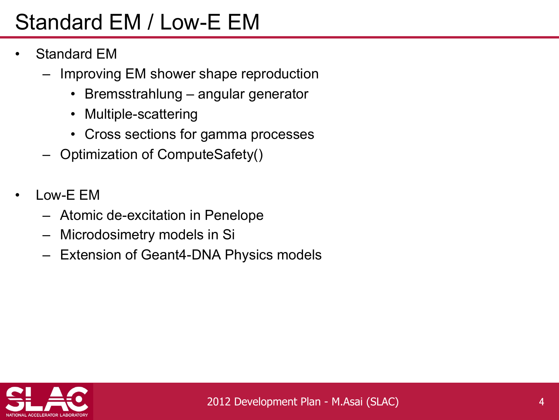## Standard EM / Low-E EM

- Standard EM
	- Improving EM shower shape reproduction
		- Bremsstrahlung angular generator
		- Multiple-scattering
		- Cross sections for gamma processes
	- Optimization of ComputeSafety()
- Low-E EM
	- Atomic de-excitation in Penelope
	- Microdosimetry models in Si
	- Extension of Geant4-DNA Physics models

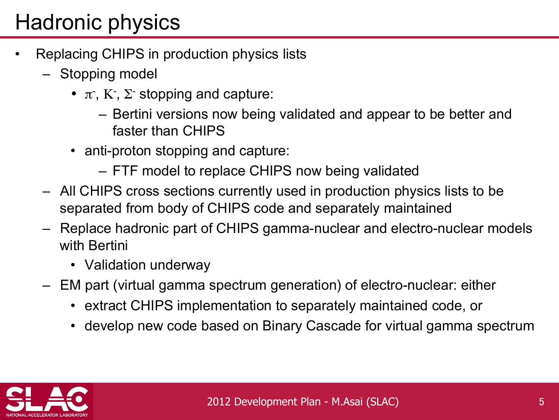### Hadronic physics

- Replacing CHIPS in production physics lists
	- Stopping model
		- $\pi$ , K,  $\Sigma$  stopping and capture:
			- Bertini versions now being validated and appear to be better and faster than CHIPS
		- anti-proton stopping and capture:
			- FTF model to replace CHIPS now being validated
	- All CHIPS cross sections currently used in production physics lists to be separated from body of CHIPS code and separately maintained
	- Replace hadronic part of CHIPS gamma-nuclear and electro-nuclear models with Bertini
		- Validation underway
	- EM part (virtual gamma spectrum generation) of electro-nuclear: either
		- extract CHIPS implementation to separately maintained code, or
		- develop new code based on Binary Cascade for virtual gamma spectrum

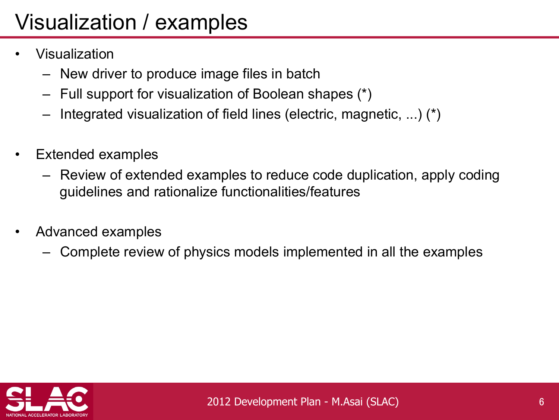# Visualization / examples

- Visualization
	- New driver to produce image files in batch
	- Full support for visualization of Boolean shapes (\*)
	- Integrated visualization of field lines (electric, magnetic, ...) (\*)
- Extended examples
	- Review of extended examples to reduce code duplication, apply coding guidelines and rationalize functionalities/features
- Advanced examples
	- Complete review of physics models implemented in all the examples

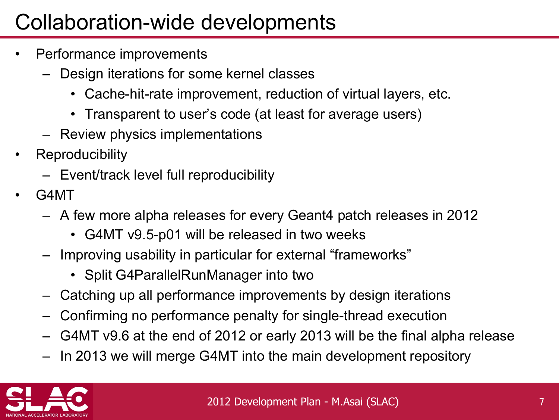### Collaboration-wide developments

- Performance improvements
	- Design iterations for some kernel classes
		- Cache-hit-rate improvement, reduction of virtual layers, etc.
		- Transparent to user's code (at least for average users)
	- Review physics implementations
- **Reproducibility** 
	- Event/track level full reproducibility
- G4MT
	- A few more alpha releases for every Geant4 patch releases in 2012
		- G4MT v9.5-p01 will be released in two weeks
	- Improving usability in particular for external "frameworks"
		- Split G4ParallelRunManager into two
	- Catching up all performance improvements by design iterations
	- Confirming no performance penalty for single-thread execution
	- G4MT v9.6 at the end of 2012 or early 2013 will be the final alpha release
	- In 2013 we will merge G4MT into the main development repository

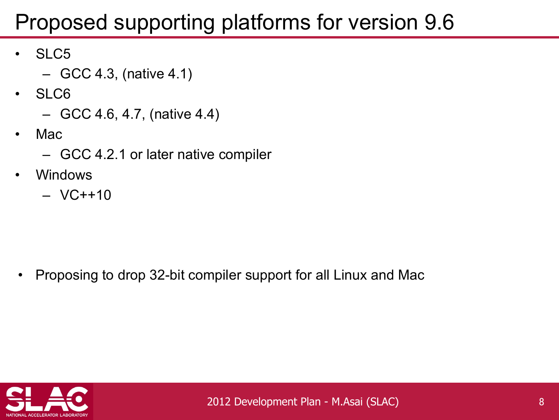### Proposed supporting platforms for version 9.6

- SLC5
	- $-$  GCC 4.3, (native 4.1)
- SLC6
	- GCC 4.6, 4.7, (native 4.4)
- Mac
	- GCC 4.2.1 or later native compiler
- **Windows** 
	- VC++10

• Proposing to drop 32-bit compiler support for all Linux and Mac